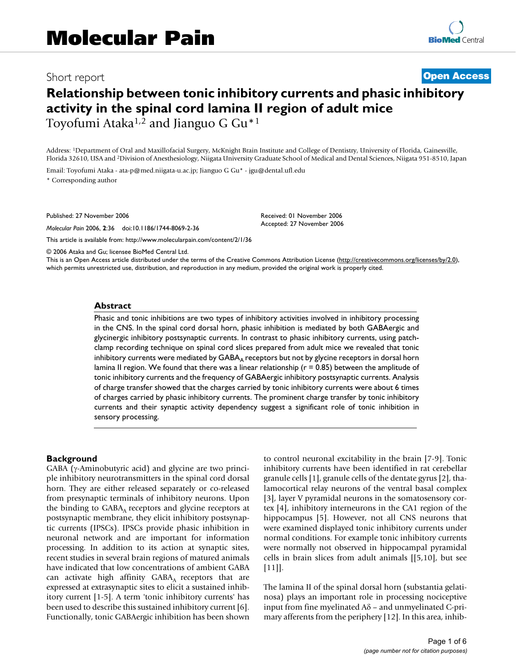## Short report **[Open Access](http://www.biomedcentral.com/info/about/charter/)**

# **Relationship between tonic inhibitory currents and phasic inhibitory activity in the spinal cord lamina II region of adult mice** Toyofumi Ataka1,2 and Jianguo G Gu\*1

Address: 1Department of Oral and Maxillofacial Surgery, McKnight Brain Institute and College of Dentistry, University of Florida, Gainesville, Florida 32610, USA and 2Division of Anesthesiology, Niigata University Graduate School of Medical and Dental Sciences, Niigata 951-8510, Japan

Email: Toyofumi Ataka - ata-p@med.niigata-u.ac.jp; Jianguo G Gu\* - jgu@dental.ufl.edu \* Corresponding author

Published: 27 November 2006

*Molecular Pain* 2006, **2**:36 doi:10.1186/1744-8069-2-36

[This article is available from: http://www.molecularpain.com/content/2/1/36](http://www.molecularpain.com/content/2/1/36)

Received: 01 November 2006 Accepted: 27 November 2006

© 2006 Ataka and Gu; licensee BioMed Central Ltd.

This is an Open Access article distributed under the terms of the Creative Commons Attribution License [\(http://creativecommons.org/licenses/by/2.0\)](http://creativecommons.org/licenses/by/2.0), which permits unrestricted use, distribution, and reproduction in any medium, provided the original work is properly cited.

#### **Abstract**

Phasic and tonic inhibitions are two types of inhibitory activities involved in inhibitory processing in the CNS. In the spinal cord dorsal horn, phasic inhibition is mediated by both GABAergic and glycinergic inhibitory postsynaptic currents. In contrast to phasic inhibitory currents, using patchclamp recording technique on spinal cord slices prepared from adult mice we revealed that tonic inhibitory currents were mediated by GABA<sub>A</sub> receptors but not by glycine receptors in dorsal horn lamina II region. We found that there was a linear relationship ( $r = 0.85$ ) between the amplitude of tonic inhibitory currents and the frequency of GABAergic inhibitory postsynaptic currents. Analysis of charge transfer showed that the charges carried by tonic inhibitory currents were about 6 times of charges carried by phasic inhibitory currents. The prominent charge transfer by tonic inhibitory currents and their synaptic activity dependency suggest a significant role of tonic inhibition in sensory processing.

#### **Background**

GABA (γ-Aminobutyric acid) and glycine are two principle inhibitory neurotransmitters in the spinal cord dorsal horn. They are either released separately or co-released from presynaptic terminals of inhibitory neurons. Upon the binding to  $GABA_A$  receptors and glycine receptors at postsynaptic membrane, they elicit inhibitory postsynaptic currents (IPSCs). IPSCs provide phasic inhibition in neuronal network and are important for information processing. In addition to its action at synaptic sites, recent studies in several brain regions of matured animals have indicated that low concentrations of ambient GABA can activate high affinity  $GABA_A$  receptors that are expressed at extrasynaptic sites to elicit a sustained inhibitory current [1-5]. A term 'tonic inhibitory currents' has been used to describe this sustained inhibitory current [6]. Functionally, tonic GABAergic inhibition has been shown to control neuronal excitability in the brain [7-9]. Tonic inhibitory currents have been identified in rat cerebellar granule cells [1], granule cells of the dentate gyrus [2], thalamocortical relay neurons of the ventral basal complex [3], layer V pyramidal neurons in the somatosensory cortex [4], inhibitory interneurons in the CA1 region of the hippocampus [5]. However, not all CNS neurons that were examined displayed tonic inhibitory currents under normal conditions. For example tonic inhibitory currents were normally not observed in hippocampal pyramidal cells in brain slices from adult animals [[5,10], but see  $[11]$  $[11]$  $[11]$ .

The lamina II of the spinal dorsal horn (substantia gelatinosa) plays an important role in processing nociceptive input from fine myelinated Aδ – and unmyelinated C-primary afferents from the periphery [12]. In this area, inhib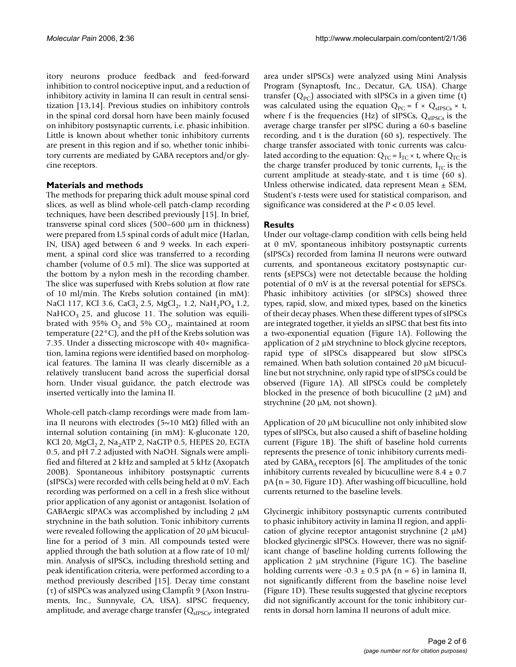itory neurons produce feedback and feed-forward inhibition to control nociceptive input, and a reduction of inhibitory activity in lamina II can result in central sensitization [13,14]. Previous studies on inhibitory controls in the spinal cord dorsal horn have been mainly focused on inhibitory postsynaptic currents, i.e. phasic inhibition. Little is known about whether tonic inhibitory currents are present in this region and if so, whether tonic inhibitory currents are mediated by GABA receptors and/or glycine receptors.

## **Materials and methods**

The methods for preparing thick adult mouse spinal cord slices, as well as blind whole-cell patch-clamp recording techniques, have been described previously [15]. In brief, transverse spinal cord slices (500–600 µm in thickness) were prepared from L5 spinal cords of adult mice (Harlan, IN, USA) aged between 6 and 9 weeks. In each experiment, a spinal cord slice was transferred to a recording chamber (volume of 0.5 ml). The slice was supported at the bottom by a nylon mesh in the recording chamber. The slice was superfused with Krebs solution at flow rate of 10 ml/min. The Krebs solution contained (in mM): NaCl 117, KCl 3.6, CaCl<sub>2</sub> 2.5, MgCl<sub>2</sub>, 1.2, NaH<sub>2</sub>PO<sub>4</sub> 1.2, NaHCO<sub>3</sub> 25, and glucose 11. The solution was equilibrated with 95%  $O_2$  and 5%  $CO_2$ , maintained at room temperature (22°C), and the pH of the Krebs solution was 7.35. Under a dissecting microscope with 40× magnification, lamina regions were identified based on morphological features. The lamina II was clearly discernible as a relatively translucent band across the superficial dorsal horn. Under visual guidance, the patch electrode was inserted vertically into the lamina II.

Whole-cell patch-clamp recordings were made from lamina II neurons with electrodes (5~10 MΩ) filled with an internal solution containing (in mM): K-gluconate 120, KCl 20, MgCl<sub>2</sub> 2, Na<sub>2</sub>ATP 2, NaGTP 0.5, HEPES 20, EGTA 0.5, and pH 7.2 adjusted with NaOH. Signals were amplified and filtered at 2 kHz and sampled at 5 kHz (Axopatch 200B). Spontaneous inhibitory postsynaptic currents (sIPSCs) were recorded with cells being held at 0 mV. Each recording was performed on a cell in a fresh slice without prior application of any agonist or antagonist. Isolation of GABAergic sIPACs was accomplished by including  $2 \mu M$ strychnine in the bath solution. Tonic inhibitory currents were revealed following the application of 20  $\mu$ M bicuculline for a period of 3 min. All compounds tested were applied through the bath solution at a flow rate of 10 ml/ min. Analysis of sIPSCs, including threshold setting and peak identification criteria, were performed according to a method previously described [15]. Decay time constant (τ) of sISPCs was analyzed using Clampfit 9 (Axon Instruments, Inc., Sunnyvale, CA, USA). sIPSC frequency, amplitude, and average charge transfer  $(Q_{\text{sIPSCs'}})$  integrated

area under sIPSCs) were analyzed using Mini Analysis Program (Synaptosft, Inc., Decatur, GA, USA). Charge transfer  $(Q_{PC})$  associated with sIPSCs in a given time (t) was calculated using the equation  $Q_{PC} = f \times Q_{sIPSCs} \times t$ , where f is the frequencies (Hz) of sIPSCs,  $Q_{\text{sIPSCs}}$  is the average charge transfer per sIPSC during a 60-s baseline recording, and t is the duration (60 s), respectively. The charge transfer associated with tonic currents was calculated according to the equation:  $Q_{TC} = I_{TC} \times t$ , where  $Q_{TC}$  is the charge transfer produced by tonic currents,  $I_{TC}$  is the current amplitude at steady-state, and t is time (60 s). Unless otherwise indicated, data represent Mean ± SEM, Student's *t*-tests were used for statistical comparison, and significance was considered at the *P* < 0.05 level.

## **Results**

Under our voltage-clamp condition with cells being held at 0 mV, spontaneous inhibitory postsynaptic currents (sIPSCs) recorded from lamina II neurons were outward currents, and spontaneous excitatory postsynaptic currents (sEPSCs) were not detectable because the holding potential of 0 mV is at the reversal potential for sEPSCs. Phasic inhibitory activities (or sIPSCs) showed three types, rapid, slow, and mixed types, based on the kinetics of their decay phases. When these different types of sIPSCs are integrated together, it yields an sIPSC that best fits into a two-exponential equation (Figure 1A). Following the application of 2 µM strychnine to block glycine receptors, rapid type of sIPSCs disappeared but slow sIPSCs remained. When bath solution contained 20 µM bicuculline but not strychnine, only rapid type of sIPSCs could be observed (Figure 1A). All sIPSCs could be completely blocked in the presence of both bicuculline  $(2 \mu M)$  and strychnine (20 µM, not shown).

Application of 20 µM bicuculline not only inhibited slow types of sIPSCs, but also caused a shift of baseline holding current (Figure 1B). The shift of baseline hold currents represents the presence of tonic inhibitory currents mediated by  $GABA_A$  receptors [6]. The amplitudes of the tonic inhibitory currents revealed by bicuculline were  $8.4 \pm 0.7$ pA (n = 30, Figure 1D). After washing off bicuculline, hold currents returned to the baseline levels.

Glycinergic inhibitory postsynaptic currents contributed to phasic inhibitory activity in lamina II region, and application of glycine receptor antagonist strychnine  $(2 \mu M)$ blocked glycinergic sIPSCs. However, there was no significant change of baseline holding currents following the application 2  $\mu$ M strychnine (Figure 1C). The baseline holding currents were  $-0.3 \pm 0.5$  pA (n = 6) in lamina II, not significantly different from the baseline noise level (Figure 1D). These results suggested that glycine receptors did not significantly account for the tonic inhibitory currents in dorsal horn lamina II neurons of adult mice.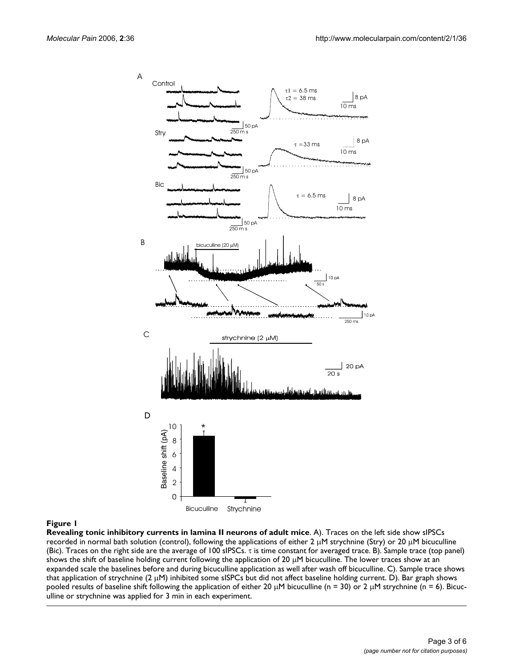

#### Figure 1

**Revealing tonic inhibitory currents in lamina II neurons of adult mice**. A). Traces on the left side show sIPSCs recorded in normal bath solution (control), following the applications of either 2  $\mu$ M strychnine (Stry) or 20  $\mu$ M bicuculline (Bic). Traces on the right side are the average of 100 sIPSCs. τ is time constant for averaged trace. B). Sample trace (top panel) shows the shift of baseline holding current following the application of 20  $\mu$ M bicuculline. The lower traces show at an expanded scale the baselines before and during bicuculline application as well after wash off bicuculline. C). Sample trace shows that application of strychnine (2 µM) inhibited some sISPCs but did not affect baseline holding current. D). Bar graph shows pooled results of baseline shift following the application of either 20  $\mu$ M bicuculline (n = 30) or 2  $\mu$ M strychnine (n = 6). Bicuculline or strychnine was applied for 3 min in each experiment.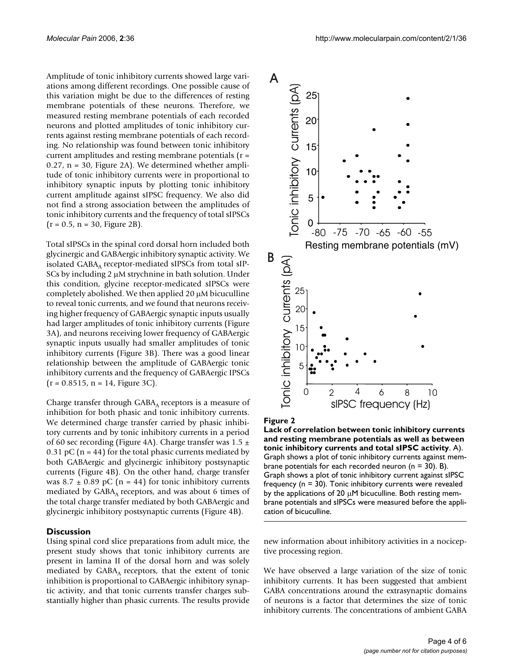Amplitude of tonic inhibitory currents showed large variations among different recordings. One possible cause of this variation might be due to the differences of resting membrane potentials of these neurons. Therefore, we measured resting membrane potentials of each recorded neurons and plotted amplitudes of tonic inhibitory currents against resting membrane potentials of each recording. No relationship was found between tonic inhibitory current amplitudes and resting membrane potentials (r = 0.27, n = 30, Figure 2A). We determined whether amplitude of tonic inhibitory currents were in proportional to inhibitory synaptic inputs by plotting tonic inhibitory current amplitude against sIPSC frequency. We also did not find a strong association between the amplitudes of tonic inhibitory currents and the frequency of total sIPSCs  $(r = 0.5, n = 30,$  Figure 2B).

Total sIPSCs in the spinal cord dorsal horn included both glycinergic and GABAergic inhibitory synaptic activity. We isolated  $GABA_A$  receptor-mediated sIPSCs from total sIP-SCs by including 2  $\mu$ M strychnine in bath solution. Under this condition, glycine receptor-medicated sIPSCs were completely abolished. We then applied  $20 \mu$ M bicuculline to reveal tonic currents, and we found that neurons receiving higher frequency of GABAergic synaptic inputs usually had larger amplitudes of tonic inhibitory currents (Figure 3A), and neurons receiving lower frequency of GABAergic synaptic inputs usually had smaller amplitudes of tonic inhibitory currents (Figure 3B). There was a good linear relationship between the amplitude of GABAergic tonic inhibitory currents and the frequency of GABAergic IPSCs  $(r = 0.8515, n = 14, Figure 3C).$ 

Charge transfer through  $GABA_A$  receptors is a measure of inhibition for both phasic and tonic inhibitory currents. We determined charge transfer carried by phasic inhibitory currents and by tonic inhibitory currents in a period of 60 sec recording (Figure 4A). Charge transfer was  $1.5 \pm$ 0.31 pC ( $n = 44$ ) for the total phasic currents mediated by both GABAergic and glycinergic inhibitory postsynaptic currents (Figure 4B). On the other hand, charge transfer was  $8.7 \pm 0.89$  pC (n = 44) for tonic inhibitory currents mediated by  $GABA_A$  receptors, and was about 6 times of the total charge transfer mediated by both GABAergic and glycinergic inhibitory postsynaptic currents (Figure 4B).

#### **Discussion**

Using spinal cord slice preparations from adult mice, the present study shows that tonic inhibitory currents are present in lamina II of the dorsal horn and was solely mediated by  $GABA_A$  receptors, that the extent of tonic inhibition is proportional to GABAergic inhibitory synaptic activity, and that tonic currents transfer charges substantially higher than phasic currents. The results provide



#### Figure 2

**Lack of correlation between tonic inhibitory currents and resting membrane potentials as well as between tonic inhibitory currents and total sIPSC activity**. A). Graph shows a plot of tonic inhibitory currents against membrane potentials for each recorded neuron ( $n = 30$ ). B). Graph shows a plot of tonic inhibitory current against sIPSC frequency ( $n = 30$ ). Tonic inhibitory currents were revealed by the applications of 20  $\mu$ M bicuculline. Both resting membrane potentials and sIPSCs were measured before the application of bicuculline.

new information about inhibitory activities in a nociceptive processing region.

We have observed a large variation of the size of tonic inhibitory currents. It has been suggested that ambient GABA concentrations around the extrasynaptic domains of neurons is a factor that determines the size of tonic inhibitory currents. The concentrations of ambient GABA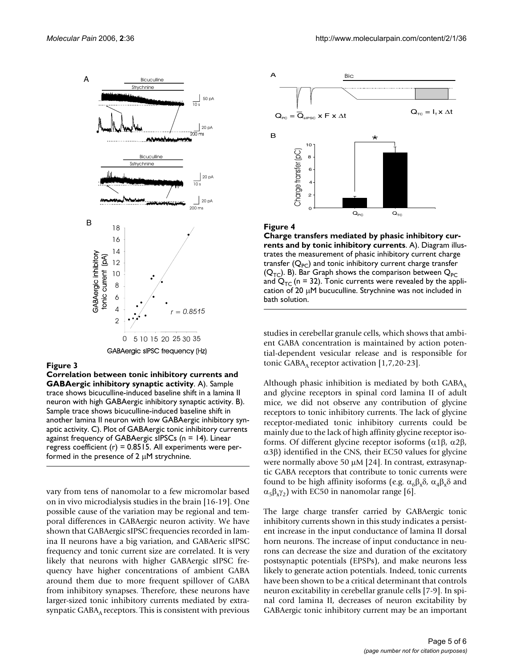

#### Figure 3

**Correlation between tonic inhibitory currents and GABAergic inhibitory synaptic activity**. A). Sample trace shows bicuculline-induced baseline shift in a lamina II neuron with high GABAergic inhibitory synaptic activity. B). Sample trace shows bicuculline-induced baseline shift in another lamina II neuron with low GABAergic inhibitory synaptic activity. C). Plot of GABAergic tonic inhibitory currents against frequency of GABAergic sIPSCs (n = 14). Linear regress coefficient  $(r) = 0.8515$ . All experiments were performed in the presence of 2  $\mu$ M strychnine.

vary from tens of nanomolar to a few micromolar based on in vivo microdialysis studies in the brain [16-19]. One possible cause of the variation may be regional and temporal differences in GABAergic neuron activity. We have shown that GABAergic sIPSC frequencies recorded in lamina II neurons have a big variation, and GABAeric sIPSC frequency and tonic current size are correlated. It is very likely that neurons with higher GABAergic sIPSC frequency have higher concentrations of ambient GABA around them due to more frequent spillover of GABA from inhibitory synapses. Therefore, these neurons have larger-sized tonic inhibitory currents mediated by extrasynpatic  $GABA_A$  receptors. This is consistent with previous



#### Figure 4

**Charge transfers mediated by phasic inhibitory currents and by tonic inhibitory currents**. A). Diagram illustrates the measurement of phasic inhibitory current charge transfer  $(Q_{PC})$  and tonic inhibitory current charge transfer  $(Q_{TC})$ . B). Bar Graph shows the comparison between  $Q_{PC}$ and  $Q_{TC}$  (n = 32). Tonic currents were revealed by the application of 20 µM bucuculline. Strychnine was not included in bath solution.

studies in cerebellar granule cells, which shows that ambient GABA concentration is maintained by action potential-dependent vesicular release and is responsible for tonic GABA<sub>A</sub> receptor activation  $[1,7,20-23]$ .

Although phasic inhibition is mediated by both  $GABA_A$ and glycine receptors in spinal cord lamina II of adult mice, we did not observe any contribution of glycine receptors to tonic inhibitory currents. The lack of glycine receptor-mediated tonic inhibitory currents could be mainly due to the lack of high affinity glycine receptor isoforms. Of different glycine receptor isoforms (α1β, α2β, α3β) identified in the CNS, their EC50 values for glycine were normally above 50 µM [24]. In contrast, extrasynaptic GABA receptors that contribute to tonic currents were found to be high affinity isoforms (e.g.  $\alpha_6\beta_3\delta$ ,  $\alpha_4\beta_3\delta$  and  $\alpha_5\beta_2\gamma_2$ ) with EC50 in nanomolar range [6].

The large charge transfer carried by GABAergic tonic inhibitory currents shown in this study indicates a persistent increase in the input conductance of lamina II dorsal horn neurons. The increase of input conductance in neurons can decrease the size and duration of the excitatory postsynaptic potentials (EPSPs), and make neurons less likely to generate action potentials. Indeed, tonic currents have been shown to be a critical determinant that controls neuron excitability in cerebellar granule cells [7-9]. In spinal cord lamina II, decreases of neuron excitability by GABAergic tonic inhibitory current may be an important